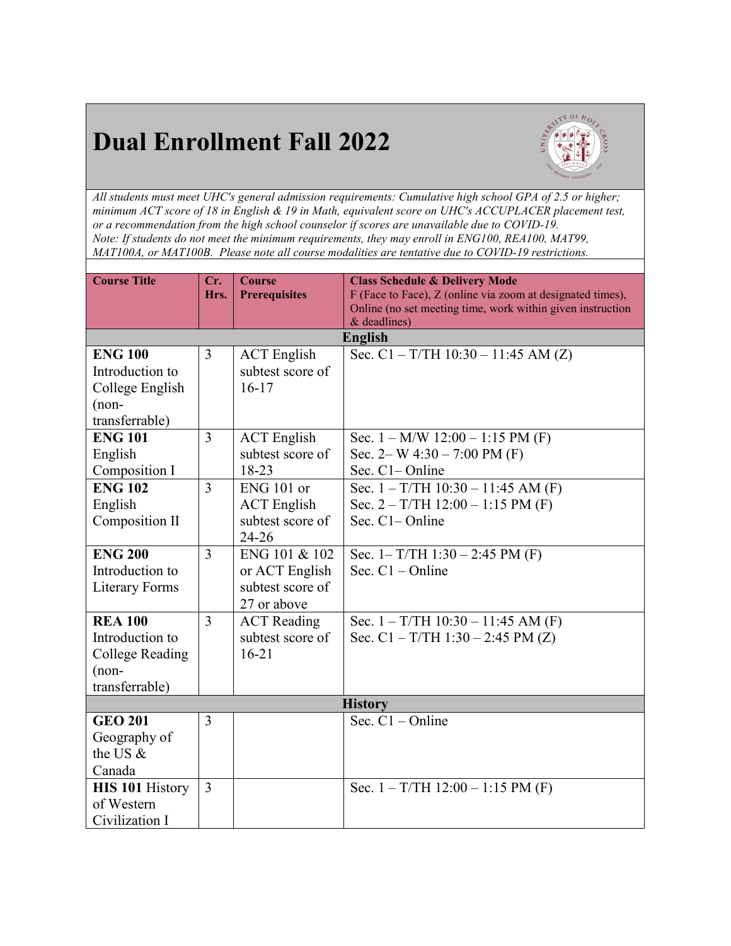## **Dual Enrollment Fall 2022**



*All students must meet UHC's general admission requirements: Cumulative high school GPA of 2.5 or higher; minimum ACT score of 18 in English & 19 in Math, equivalent score on UHC's ACCUPLACER placement test, or a recommendation from the high school counselor if scores are unavailable due to COVID-19. Note: If students do not meet the minimum requirements, they may enroll in ENG100, REA100, MAT99, MAT100A, or MAT100B. Please note all course modalities are tentative due to COVID-19 restrictions.*

| <b>Course Title</b>               | Cr.<br>Hrs.    | <b>Course</b><br><b>Prerequisites</b> | <b>Class Schedule &amp; Delivery Mode</b><br>F (Face to Face), Z (online via zoom at designated times), |  |  |
|-----------------------------------|----------------|---------------------------------------|---------------------------------------------------------------------------------------------------------|--|--|
|                                   |                |                                       | Online (no set meeting time, work within given instruction<br>& deadlines)                              |  |  |
|                                   |                |                                       | <b>English</b>                                                                                          |  |  |
| <b>ENG 100</b>                    | $\overline{3}$ | <b>ACT</b> English                    | Sec. $C1 - T/TH$ 10:30 – 11:45 AM (Z)                                                                   |  |  |
| Introduction to                   |                | subtest score of                      |                                                                                                         |  |  |
| College English                   |                | $16 - 17$                             |                                                                                                         |  |  |
| $(non-$                           |                |                                       |                                                                                                         |  |  |
| transferrable)                    |                |                                       |                                                                                                         |  |  |
| <b>ENG 101</b>                    | 3              | <b>ACT</b> English                    | Sec. $1 - M/W$ 12:00 $- 1:15 PM$ (F)                                                                    |  |  |
| English                           |                | subtest score of                      | Sec. 2– W $4:30 - 7:00$ PM (F)                                                                          |  |  |
| Composition I                     |                | $18 - 23$                             | Sec. C1-Online                                                                                          |  |  |
| <b>ENG 102</b>                    | $\overline{3}$ | ENG 101 or                            | Sec. $1 - T/TH$ 10:30 - 11:45 AM (F)                                                                    |  |  |
| English                           |                | <b>ACT</b> English                    | Sec. $2 - T/TH$ 12:00 – 1:15 PM (F)                                                                     |  |  |
| Composition II                    |                | subtest score of                      | Sec. C1– Online                                                                                         |  |  |
|                                   |                | $24 - 26$                             |                                                                                                         |  |  |
| <b>ENG 200</b><br>Introduction to | $\overline{3}$ | ENG 101 & 102                         | Sec. $1 - T/TH$ 1:30 – 2:45 PM (F)<br>Sec. $C1 - Online$                                                |  |  |
|                                   |                | or ACT English<br>subtest score of    |                                                                                                         |  |  |
| <b>Literary Forms</b>             |                | 27 or above                           |                                                                                                         |  |  |
| <b>REA 100</b>                    | 3              | <b>ACT</b> Reading                    | Sec. $1 - T/TH$ 10:30 - 11:45 AM (F)                                                                    |  |  |
| Introduction to                   |                | subtest score of                      | Sec. $C1 - T/TH$ 1:30 – 2:45 PM (Z)                                                                     |  |  |
| College Reading                   |                | $16 - 21$                             |                                                                                                         |  |  |
| $(non-$                           |                |                                       |                                                                                                         |  |  |
| transferrable)                    |                |                                       |                                                                                                         |  |  |
| <b>History</b>                    |                |                                       |                                                                                                         |  |  |
| <b>GEO 201</b>                    | $\overline{3}$ |                                       | Sec. $C1$ – Online                                                                                      |  |  |
| Geography of                      |                |                                       |                                                                                                         |  |  |
| the US $\&$                       |                |                                       |                                                                                                         |  |  |
| Canada                            |                |                                       |                                                                                                         |  |  |
| <b>HIS 101 History</b>            | $\overline{3}$ |                                       | Sec. $1 - T/TH$ 12:00 – 1:15 PM (F)                                                                     |  |  |
| of Western                        |                |                                       |                                                                                                         |  |  |
| Civilization I                    |                |                                       |                                                                                                         |  |  |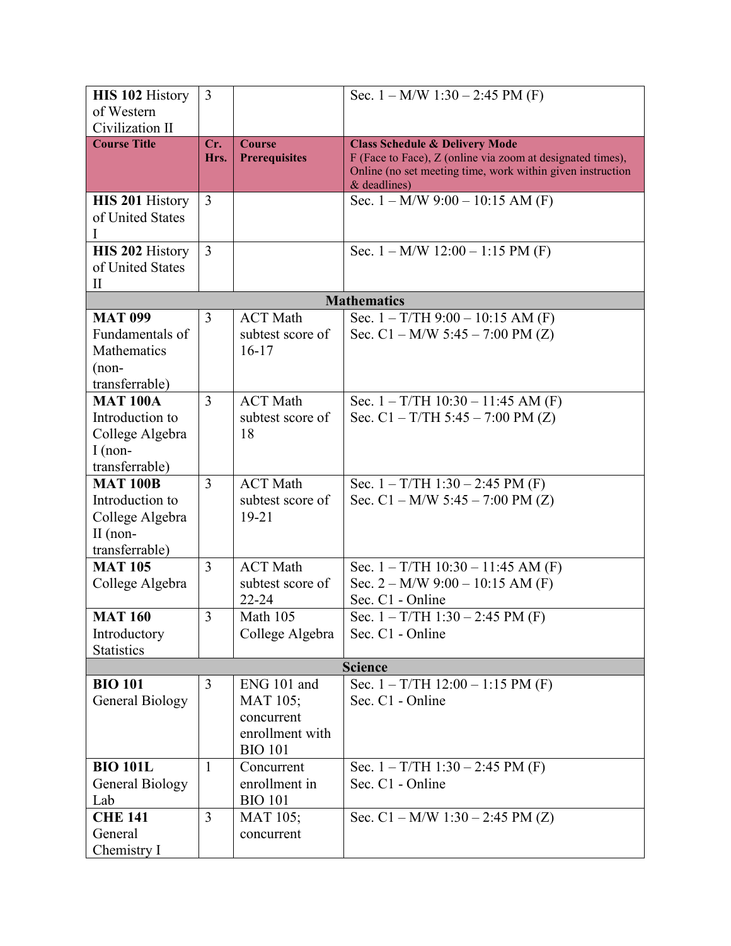| <b>HIS 102 History</b> | 3              |                      | Sec. $1 - M/W$ 1:30 $- 2:45 PM$ (F)                                          |
|------------------------|----------------|----------------------|------------------------------------------------------------------------------|
| of Western             |                |                      |                                                                              |
| Civilization II        |                |                      |                                                                              |
| <b>Course Title</b>    | Cr.            | <b>Course</b>        | <b>Class Schedule &amp; Delivery Mode</b>                                    |
|                        | Hrs.           | <b>Prerequisites</b> | F (Face to Face), Z (online via zoom at designated times),                   |
|                        |                |                      | Online (no set meeting time, work within given instruction<br>$&$ deadlines) |
| <b>HIS 201 History</b> | 3              |                      | Sec. $1 - M/W$ 9:00 $- 10:15$ AM (F)                                         |
| of United States       |                |                      |                                                                              |
| I                      |                |                      |                                                                              |
| <b>HIS 202 History</b> | $\overline{3}$ |                      | Sec. $1 - M/W$ 12:00 $- 1:15 PM$ (F)                                         |
| of United States       |                |                      |                                                                              |
| $\rm II$               |                |                      |                                                                              |
|                        |                |                      | <b>Mathematics</b>                                                           |
| <b>MAT 099</b>         | 3              | <b>ACT</b> Math      | Sec. $1 - T/TH$ 9:00 - 10:15 AM (F)                                          |
| Fundamentals of        |                | subtest score of     | Sec. C1 – M/W 5:45 – 7:00 PM $(Z)$                                           |
| <b>Mathematics</b>     |                | $16-17$              |                                                                              |
| $(non-$                |                |                      |                                                                              |
| transferrable)         |                |                      |                                                                              |
| <b>MAT 100A</b>        | 3              | <b>ACT Math</b>      | Sec. $1 - T/TH$ 10:30 – 11:45 AM (F)                                         |
| Introduction to        |                | subtest score of     | Sec. $C1 - T/TH$ 5:45 – 7:00 PM (Z)                                          |
| College Algebra        |                | 18                   |                                                                              |
| $I$ (non-              |                |                      |                                                                              |
| transferrable)         |                |                      |                                                                              |
| <b>MAT 100B</b>        | 3              | <b>ACT Math</b>      | Sec. $1 - T/TH$ 1:30 – 2:45 PM (F)                                           |
| Introduction to        |                | subtest score of     | Sec. $C1 - M/W$ 5:45 - 7:00 PM (Z)                                           |
| College Algebra        |                | $19 - 21$            |                                                                              |
| $II$ (non-             |                |                      |                                                                              |
| transferrable)         |                |                      |                                                                              |
| <b>MAT 105</b>         | $\overline{3}$ | <b>ACT Math</b>      | Sec. $1 - T/TH$ 10:30 - 11:45 AM (F)                                         |
| College Algebra        |                | subtest score of     | Sec. $2 - M/W$ 9:00 $- 10:15$ AM (F)                                         |
|                        |                | $22 - 24$            | Sec. C1 - Online                                                             |
| <b>MAT 160</b>         | 3              | Math 105             | Sec. $1 - T/TH$ 1:30 – 2:45 PM (F)                                           |
| Introductory           |                | College Algebra      | Sec. C1 - Online                                                             |
| <b>Statistics</b>      |                |                      | <b>Science</b>                                                               |
| <b>BIO 101</b>         | 3              | ENG 101 and          | Sec. $1 - T/TH$ 12:00 – 1:15 PM (F)                                          |
| General Biology        |                | MAT 105;             | Sec. C1 - Online                                                             |
|                        |                | concurrent           |                                                                              |
|                        |                | enrollment with      |                                                                              |
|                        |                | <b>BIO 101</b>       |                                                                              |
| <b>BIO 101L</b>        | 1              | Concurrent           | Sec. $1 - T/TH$ 1:30 – 2:45 PM (F)                                           |
| <b>General Biology</b> |                | enrollment in        | Sec. C1 - Online                                                             |
| Lab                    |                | <b>BIO 101</b>       |                                                                              |
| <b>CHE 141</b>         | 3              | <b>MAT 105;</b>      | Sec. $C1 - M/W$ 1:30 – 2:45 PM (Z)                                           |
| General                |                | concurrent           |                                                                              |
| Chemistry I            |                |                      |                                                                              |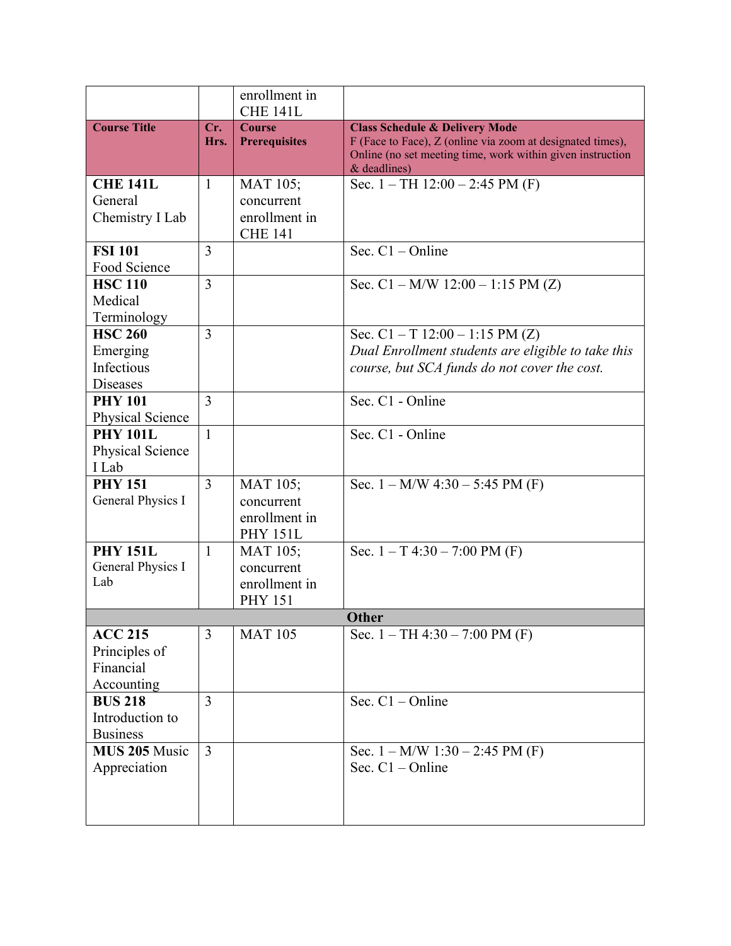|                                                             |                | enrollment in<br><b>CHE 141L</b>                                 |                                                                                                                                                                                         |  |  |
|-------------------------------------------------------------|----------------|------------------------------------------------------------------|-----------------------------------------------------------------------------------------------------------------------------------------------------------------------------------------|--|--|
| <b>Course Title</b>                                         | Cr.<br>Hrs.    | <b>Course</b><br><b>Prerequisites</b>                            | <b>Class Schedule &amp; Delivery Mode</b><br>F (Face to Face), Z (online via zoom at designated times),<br>Online (no set meeting time, work within given instruction<br>$&$ deadlines) |  |  |
| <b>CHE 141L</b><br>General<br>Chemistry I Lab               | $\mathbf{1}$   | <b>MAT 105;</b><br>concurrent<br>enrollment in<br><b>CHE 141</b> | Sec. $1 - TH$ 12:00 $- 2:45 PM$ (F)                                                                                                                                                     |  |  |
| <b>FSI 101</b><br>Food Science                              | 3              |                                                                  | Sec. $C1$ – Online                                                                                                                                                                      |  |  |
| <b>HSC 110</b><br>Medical<br>Terminology                    | 3              |                                                                  | Sec. $C1 - M/W$ 12:00 $- 1:15 PM(Z)$                                                                                                                                                    |  |  |
| <b>HSC 260</b><br>Emerging<br>Infectious<br><b>Diseases</b> | 3              |                                                                  | Sec. $C1 - T$ 12:00 – 1:15 PM (Z)<br>Dual Enrollment students are eligible to take this<br>course, but SCA funds do not cover the cost.                                                 |  |  |
| <b>PHY 101</b><br>Physical Science                          | 3              |                                                                  | Sec. C1 - Online                                                                                                                                                                        |  |  |
| <b>PHY 101L</b><br>Physical Science<br>I Lab                | $\mathbf{1}$   |                                                                  | Sec. C1 - Online                                                                                                                                                                        |  |  |
| <b>PHY 151</b><br>General Physics I                         | $\overline{3}$ | MAT 105;<br>concurrent<br>enrollment in<br><b>PHY 151L</b>       | Sec. $1 - M/W$ 4:30 $-$ 5:45 PM (F)                                                                                                                                                     |  |  |
| <b>PHY 151L</b><br>General Physics I<br>Lab                 | 1              | <b>MAT 105;</b><br>concurrent<br>enrollment in<br><b>PHY 151</b> | Sec. $1 - T$ 4:30 – 7:00 PM (F)                                                                                                                                                         |  |  |
| <b>Other</b>                                                |                |                                                                  |                                                                                                                                                                                         |  |  |
| <b>ACC 215</b><br>Principles of<br>Financial<br>Accounting  | 3              | <b>MAT 105</b>                                                   | Sec. $1 - TH$ 4:30 - 7:00 PM (F)                                                                                                                                                        |  |  |
| <b>BUS 218</b><br>Introduction to<br><b>Business</b>        | 3              |                                                                  | Sec. $C1 - Online$                                                                                                                                                                      |  |  |
| MUS 205 Music<br>Appreciation                               | $\overline{3}$ |                                                                  | Sec. $1 - M/W$ 1:30 $- 2:45 PM$ (F)<br>Sec. $C1 - Online$                                                                                                                               |  |  |